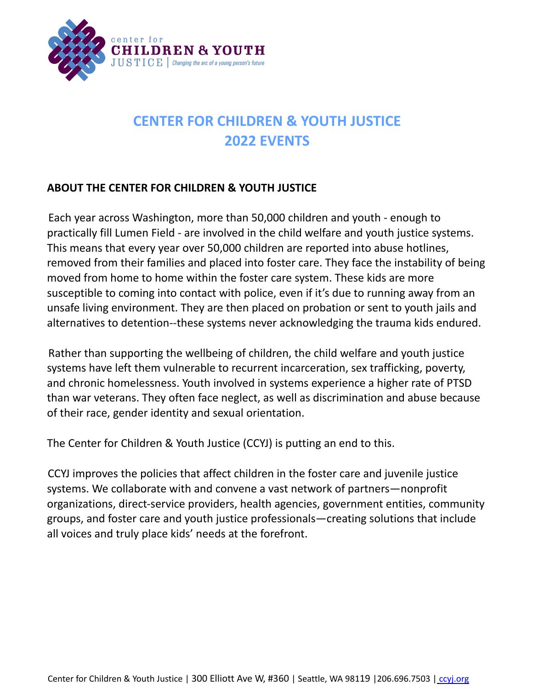

# **CENTER FOR CHILDREN & YOUTH JUSTICE 2022 EVENTS**

## **ABOUT THE CENTER FOR CHILDREN & YOUTH JUSTICE**

Each year across Washington, more than 50,000 children and youth - enough to practically fill Lumen Field - are involved in the child welfare and youth justice systems. This means that every year over 50,000 children are reported into abuse hotlines, removed from their families and placed into foster care. They face the instability of being moved from home to home within the foster care system. These kids are more susceptible to coming into contact with police, even if it's due to running away from an unsafe living environment. They are then placed on probation or sent to youth jails and alternatives to detention--these systems never acknowledging the trauma kids endured.

Rather than supporting the wellbeing of children, the child welfare and youth justice systems have left them vulnerable to recurrent incarceration, sex trafficking, poverty, and chronic homelessness. Youth involved in systems experience a higher rate of PTSD than war veterans. They often face neglect, as well as discrimination and abuse because of their race, gender identity and sexual orientation.

The Center for Children & Youth Justice (CCYJ) is putting an end to this.

CCYJ improves the policies that affect children in the foster care and juvenile justice systems. We collaborate with and convene a vast network of partners—nonprofit organizations, direct-service providers, health agencies, government entities, community groups, and foster care and youth justice professionals—creating solutions that include all voices and truly place kids' needs at the forefront.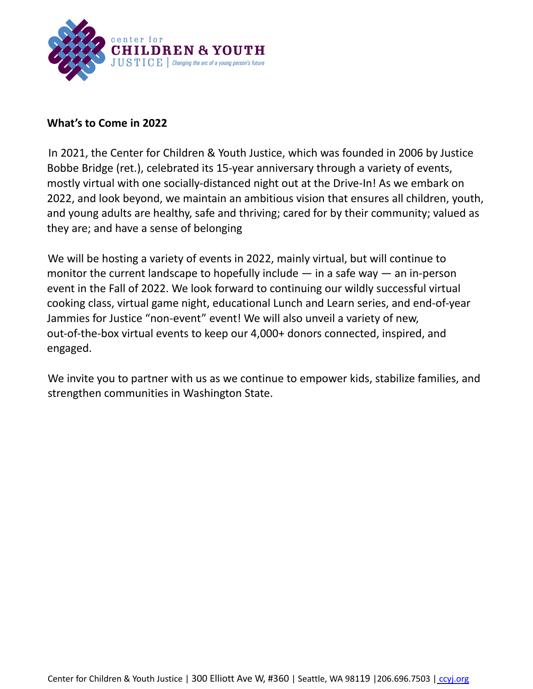

#### **What's to Come in 2022**

In 2021, the Center for Children & Youth Justice, which was founded in 2006 by Justice Bobbe Bridge (ret.), celebrated its 15-year anniversary through a variety of events, mostly virtual with one socially-distanced night out at the Drive-In! As we embark on 2022, and look beyond, we maintain an ambitious vision that ensures all children, youth, and young adults are healthy, safe and thriving; cared for by their community; valued as they are; and have a sense of belonging

We will be hosting a variety of events in 2022, mainly virtual, but will continue to monitor the current landscape to hopefully include  $-$  in a safe way  $-$  an in-person event in the Fall of 2022. We look forward to continuing our wildly successful virtual cooking class, virtual game night, educational Lunch and Learn series, and end-of-year Jammies for Justice "non-event" event! We will also unveil a variety of new, out-of-the-box virtual events to keep our 4,000+ donors connected, inspired, and engaged.

We invite you to partner with us as we continue to empower kids, stabilize families, and strengthen communities in Washington State.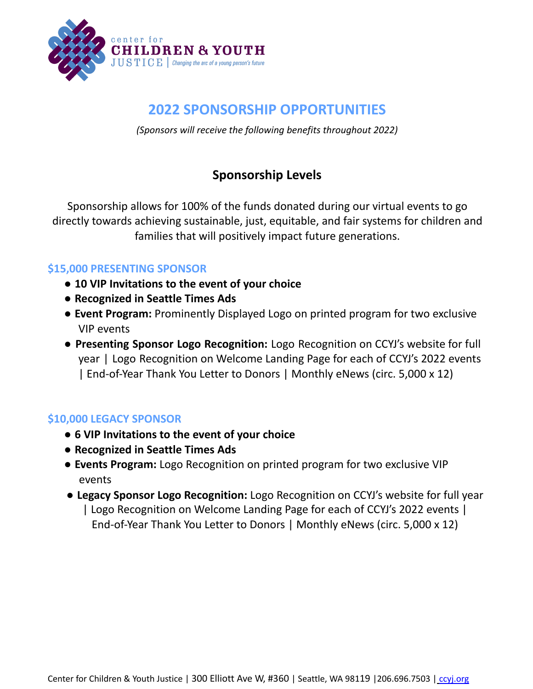

# **2022 SPONSORSHIP OPPORTUNITIES**

*(Sponsors will receive the following benefits throughout 2022)*

# **Sponsorship Levels**

Sponsorship allows for 100% of the funds donated during our virtual events to go directly towards achieving sustainable, just, equitable, and fair systems for children and families that will positively impact future generations.

### **\$15,000 PRESENTING SPONSOR**

- **10 VIP Invitations to the event of your choice**
- **Recognized in Seattle Times Ads**
- **● Event Program:** Prominently Displayed Logo on printed program for two exclusive VIP events
- **Presenting Sponsor Logo Recognition:** Logo Recognition on CCYJ's website for full year | Logo Recognition on Welcome Landing Page for each of CCYJ's 2022 events | End-of-Year Thank You Letter to Donors | Monthly eNews (circ. 5,000 x 12)

## **\$10,000 LEGACY SPONSOR**

- **6 VIP Invitations to the event of your choice**
- **Recognized in Seattle Times Ads**
- **● Events Program:** Logo Recognition on printed program for two exclusive VIP events
- **● Legacy Sponsor Logo Recognition:** Logo Recognition on CCYJ's website for full year | Logo Recognition on Welcome Landing Page for each of CCYJ's 2022 events | End-of-Year Thank You Letter to Donors | Monthly eNews (circ. 5,000 x 12)